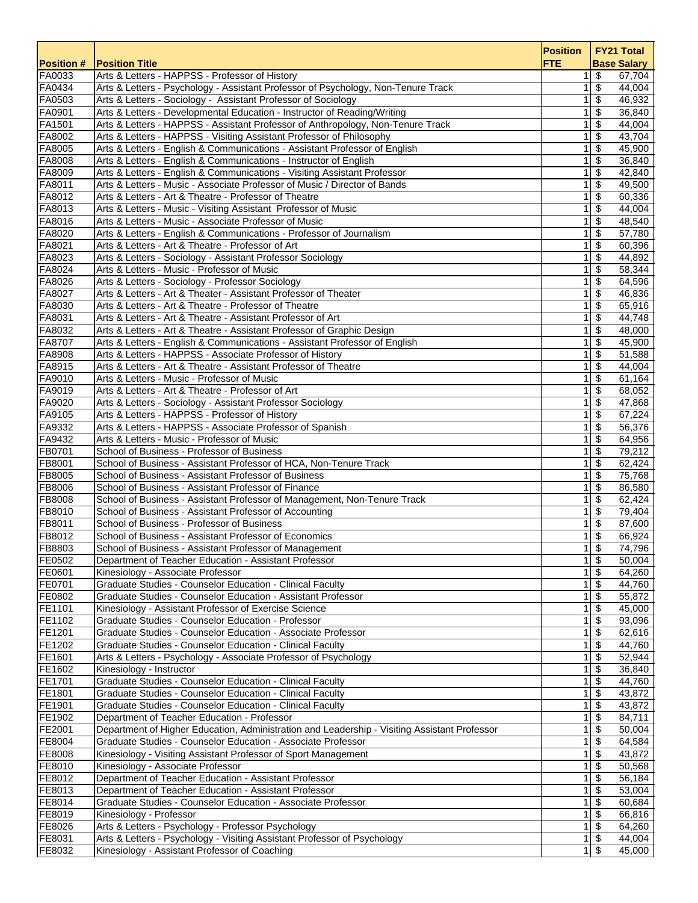| <b>Position #</b> | <b>Position Title</b>                                                                                                                         | <b>Position</b><br><b>FTE</b> | <b>FY21 Total</b><br><b>Base Salary</b>          |
|-------------------|-----------------------------------------------------------------------------------------------------------------------------------------------|-------------------------------|--------------------------------------------------|
| FA0033            | Arts & Letters - HAPPSS - Professor of History                                                                                                | 1                             | \$<br>67,704                                     |
| FA0434            | Arts & Letters - Psychology - Assistant Professor of Psychology, Non-Tenure Track                                                             | 1 <sup>1</sup>                | $\overline{\boldsymbol{\mathfrak{s}}}$<br>44,004 |
| FA0503            | Arts & Letters - Sociology - Assistant Professor of Sociology                                                                                 | $\mathbf{1}$                  | \$<br>46,932                                     |
| FA0901            | Arts & Letters - Developmental Education - Instructor of Reading/Writing                                                                      | 1 <sup>1</sup>                | \$<br>36,840                                     |
| FA1501            | Arts & Letters - HAPPSS - Assistant Professor of Anthropology, Non-Tenure Track                                                               | 1                             | \$<br>44,004                                     |
| FA8002            | Arts & Letters - HAPPSS - Visiting Assistant Professor of Philosophy                                                                          | $\mathbf{1}$                  | \$<br>43,704                                     |
| FA8005            | Arts & Letters - English & Communications - Assistant Professor of English                                                                    | $\mathbf{1}$                  | $\overline{\$}$<br>45,900                        |
| FA8008<br>FA8009  | Arts & Letters - English & Communications - Instructor of English<br>Arts & Letters - English & Communications - Visiting Assistant Professor | 1<br>$\mathbf{1}$             | \$<br>36,840<br>$\sqrt[6]{3}$<br>42,840          |
| FA8011            | Arts & Letters - Music - Associate Professor of Music / Director of Bands                                                                     | 1                             | \$<br>49,500                                     |
| FA8012            | Arts & Letters - Art & Theatre - Professor of Theatre                                                                                         | $\mathbf{1}$                  | \$<br>60,336                                     |
| FA8013            | Arts & Letters - Music - Visiting Assistant Professor of Music                                                                                | 1                             | \$<br>44,004                                     |
| FA8016            | Arts & Letters - Music - Associate Professor of Music                                                                                         | 1                             | $\overline{\$}$<br>48,540                        |
| FA8020            | Arts & Letters - English & Communications - Professor of Journalism                                                                           | $\mathbf{1}$                  | \$<br>57,780                                     |
| FA8021            | Arts & Letters - Art & Theatre - Professor of Art                                                                                             | 1 <sup>1</sup>                | $\sqrt[6]{3}$<br>60,396                          |
| FA8023            | Arts & Letters - Sociology - Assistant Professor Sociology                                                                                    | 1 <sup>1</sup>                | $\overline{\$}$<br>44,892                        |
| FA8024            | Arts & Letters - Music - Professor of Music                                                                                                   | $\mathbf{1}$                  | \$<br>58,344                                     |
| FA8026            | Arts & Letters - Sociology - Professor Sociology                                                                                              | $\mathbf{1}$                  | \$<br>64,596                                     |
| FA8027            | Arts & Letters - Art & Theater - Assistant Professor of Theater                                                                               | 1                             | \$<br>46,836                                     |
| FA8030            | Arts & Letters - Art & Theatre - Professor of Theatre                                                                                         | $\mathbf{1}$                  | \$<br>65,916                                     |
| FA8031            | Arts & Letters - Art & Theatre - Assistant Professor of Art                                                                                   | $\mathbf{1}$                  | $\overline{\boldsymbol{\theta}}$<br>44,748       |
| FA8032            | Arts & Letters - Art & Theatre - Assistant Professor of Graphic Design                                                                        | 1                             | $\sqrt[6]{3}$<br>48,000                          |
| FA8707            | Arts & Letters - English & Communications - Assistant Professor of English                                                                    | 1                             | \$<br>45,900                                     |
| FA8908            | Arts & Letters - HAPPSS - Associate Professor of History                                                                                      | $\mathbf{1}$                  | \$<br>51,588                                     |
| FA8915            | Arts & Letters - Art & Theatre - Assistant Professor of Theatre                                                                               | 1                             | \$<br>44,004                                     |
| FA9010            | Arts & Letters - Music - Professor of Music                                                                                                   | 1                             | $\sqrt[6]{3}$<br>61,164                          |
| FA9019            | Arts & Letters - Art & Theatre - Professor of Art                                                                                             | $\mathbf{1}$                  | $\overline{\mathbf{s}}$<br>68,052                |
| FA9020            | Arts & Letters - Sociology - Assistant Professor Sociology                                                                                    | 1                             | \$<br>47,868                                     |
| FA9105            | Arts & Letters - HAPPSS - Professor of History                                                                                                | $\mathbf{1}$                  | \$<br>67,224                                     |
| FA9332            | Arts & Letters - HAPPSS - Associate Professor of Spanish                                                                                      | $\mathbf{1}$                  | \$<br>56,376                                     |
| FA9432            | Arts & Letters - Music - Professor of Music                                                                                                   | $\mathbf{1}$                  | \$<br>64,956                                     |
| FB0701            | School of Business - Professor of Business                                                                                                    | $\mathbf{1}$                  | \$<br>79,212                                     |
| FB8001            | School of Business - Assistant Professor of HCA, Non-Tenure Track                                                                             | $\mathbf{1}$                  | $\sqrt[6]{3}$<br>62,424                          |
| FB8005            | School of Business - Assistant Professor of Business                                                                                          | 1<br>$\mathbf{1}$             | \$<br>75,768<br>$\sqrt[6]{3}$<br>86,580          |
| FB8006<br>FB8008  | School of Business - Assistant Professor of Finance<br>School of Business - Assistant Professor of Management, Non-Tenure Track               | 1                             | \$<br>62,424                                     |
| FB8010            | School of Business - Assistant Professor of Accounting                                                                                        | 1                             | \$<br>79,404                                     |
| FB8011            | School of Business - Professor of Business                                                                                                    | 1                             | \$<br>87,600                                     |
| FB8012            | School of Business - Assistant Professor of Economics                                                                                         | 1 <sup>1</sup>                | $\overline{\mathfrak{s}}$<br>66,924              |
| FB8803            | School of Business - Assistant Professor of Management                                                                                        | 1 <sup>1</sup>                | \$<br>74.796                                     |
| FE0502            | Department of Teacher Education - Assistant Professor                                                                                         |                               | $1$ \$<br>50,004                                 |
| FE0601            | Kinesiology - Associate Professor                                                                                                             | 1                             | \$<br>64,260                                     |
| FE0701            | Graduate Studies - Counselor Education - Clinical Faculty                                                                                     | 1 <sup>1</sup>                | \$<br>44,760                                     |
| FE0802            | Graduate Studies - Counselor Education - Assistant Professor                                                                                  | 1 <sup>1</sup>                | \$<br>55,872                                     |
| FE1101            | Kinesiology - Assistant Professor of Exercise Science                                                                                         | 1                             | \$<br>45,000                                     |
| FE1102            | Graduate Studies - Counselor Education - Professor                                                                                            | $\mathbf{1}$                  | \$<br>93,096                                     |
| FE1201            | Graduate Studies - Counselor Education - Associate Professor                                                                                  | $\mathbf{1}$                  | \$<br>62,616                                     |
| FE1202            | Graduate Studies - Counselor Education - Clinical Faculty                                                                                     | 1                             | \$<br>44,760                                     |
| FE1601            | Arts & Letters - Psychology - Associate Professor of Psychology                                                                               | $\mathbf{1}$                  | \$<br>52,944                                     |
| FE1602            | Kinesiology - Instructor                                                                                                                      | 1                             | \$<br>36,840                                     |
| FE1701            | Graduate Studies - Counselor Education - Clinical Faculty                                                                                     | $\mathbf{1}$                  | $\sqrt[6]{3}$<br>44,760                          |
| FE1801            | Graduate Studies - Counselor Education - Clinical Faculty                                                                                     |                               | $1 \,$ \$<br>43,872                              |
| FE1901            | Graduate Studies - Counselor Education - Clinical Faculty                                                                                     | 1 <sup>1</sup>                | \$<br>43,872                                     |
| FE1902            | Department of Teacher Education - Professor                                                                                                   | 1 <sup>1</sup>                | \$<br>84,711                                     |
| FE2001            | Department of Higher Education, Administration and Leadership - Visiting Assistant Professor                                                  | $\mathbf{1}$                  | \$<br>50,004                                     |
| FE8004<br>FE8008  | Graduate Studies - Counselor Education - Associate Professor<br>Kinesiology - Visiting Assistant Professor of Sport Management                | 1<br>1                        | \$<br>64,584<br>\$<br>43,872                     |
| FE8010            | Kinesiology - Associate Professor                                                                                                             | 1                             | \$<br>50,568                                     |
| FE8012            | Department of Teacher Education - Assistant Professor                                                                                         | 1 <sup>1</sup>                | \$<br>56,184                                     |
| FE8013            | Department of Teacher Education - Assistant Professor                                                                                         | $\mathbf{1}$                  | \$<br>53,004                                     |
| FE8014            | Graduate Studies - Counselor Education - Associate Professor                                                                                  | 1                             | \$<br>60,684                                     |
| FE8019            | Kinesiology - Professor                                                                                                                       | 1                             | \$<br>66,816                                     |
| FE8026            | Arts & Letters - Psychology - Professor Psychology                                                                                            | 1                             | \$<br>64,260                                     |
| FE8031            | Arts & Letters - Psychology - Visiting Assistant Professor of Psychology                                                                      | $\overline{1}$                | \$<br>44,004                                     |
| FE8032            | Kinesiology - Assistant Professor of Coaching                                                                                                 | 1 <sup>1</sup>                | \$<br>45,000                                     |